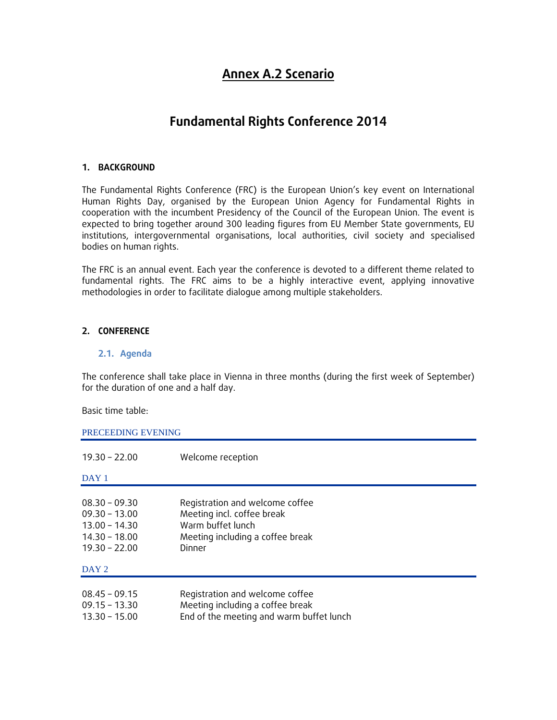# **Annex A.2 Scenario**

# **Fundamental Rights Conference 2014**

### **1. BACKGROUND**

The Fundamental Rights Conference (FRC) is the European Union's key event on International Human Rights Day, organised by the European Union Agency for Fundamental Rights in cooperation with the incumbent Presidency of the Council of the European Union. The event is expected to bring together around 300 leading figures from EU Member State governments, EU institutions, intergovernmental organisations, local authorities, civil society and specialised bodies on human rights.

The FRC is an annual event. Each year the conference is devoted to a different theme related to fundamental rights. The FRC aims to be a highly interactive event, applying innovative methodologies in order to facilitate dialogue among multiple stakeholders.

## **2. CONFERENCE**

#### **2.1. Agenda**

The conference shall take place in Vienna in three months (during the first week of September) for the duration of one and a half day.

Basic time table:

PRECEEDING EVENING

| $19.30 - 22.00$                                                                             | Welcome reception                                                                                                                |
|---------------------------------------------------------------------------------------------|----------------------------------------------------------------------------------------------------------------------------------|
| DAY <sub>1</sub>                                                                            |                                                                                                                                  |
| $08.30 - 09.30$<br>$09.30 - 13.00$<br>$13.00 - 14.30$<br>$14.30 - 18.00$<br>$19.30 - 22.00$ | Registration and welcome coffee<br>Meeting incl. coffee break<br>Warm buffet lunch<br>Meeting including a coffee break<br>Dinner |
| DAY 2                                                                                       |                                                                                                                                  |
| $08.45 - 09.15$<br>$09.15 - 13.30$<br>$13.30 - 15.00$                                       | Registration and welcome coffee<br>Meeting including a coffee break<br>End of the meeting and warm buffet lunch                  |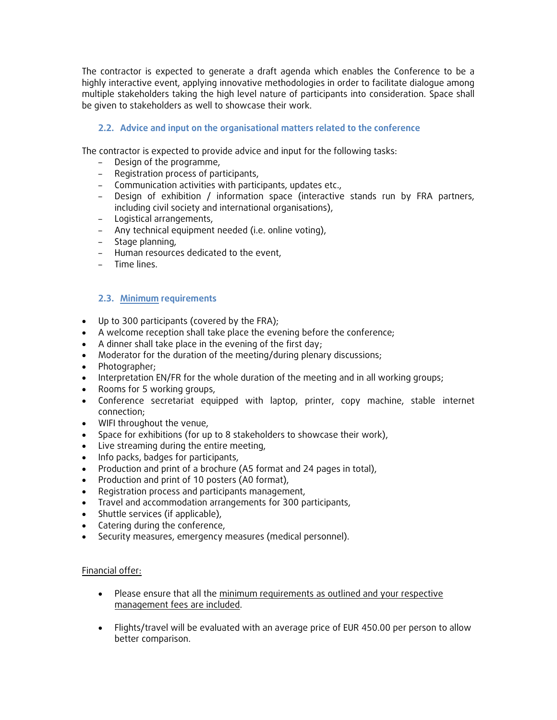The contractor is expected to generate a draft agenda which enables the Conference to be a highly interactive event, applying innovative methodologies in order to facilitate dialogue among multiple stakeholders taking the high level nature of participants into consideration. Space shall be given to stakeholders as well to showcase their work.

## **2.2. Advice and input on the organisational matters related to the conference**

The contractor is expected to provide advice and input for the following tasks:

- Design of the programme,
- Registration process of participants,
- Communication activities with participants, updates etc.,
- Design of exhibition / information space (interactive stands run by FRA partners, including civil society and international organisations),
- Logistical arrangements,
- Any technical equipment needed (i.e. online voting),
- Stage planning,
- Human resources dedicated to the event,
- Time lines.

### **2.3. Minimum requirements**

- Up to 300 participants (covered by the FRA);
- A welcome reception shall take place the evening before the conference;
- A dinner shall take place in the evening of the first day;
- Moderator for the duration of the meeting/during plenary discussions;
- Photographer;
- Interpretation EN/FR for the whole duration of the meeting and in all working groups;
- Rooms for 5 working groups,
- Conference secretariat equipped with laptop, printer, copy machine, stable internet connection;
- WIFI throughout the venue,
- Space for exhibitions (for up to 8 stakeholders to showcase their work),
- Live streaming during the entire meeting,
- Info packs, badges for participants,
- Production and print of a brochure (A5 format and 24 pages in total),
- Production and print of 10 posters (A0 format),
- Registration process and participants management,
- Travel and accommodation arrangements for 300 participants,
- Shuttle services (if applicable),
- Catering during the conference,
- Security measures, emergency measures (medical personnel).

#### Financial offer:

- Please ensure that all the minimum requirements as outlined and your respective management fees are included.
- Flights/travel will be evaluated with an average price of EUR 450.00 per person to allow better comparison.